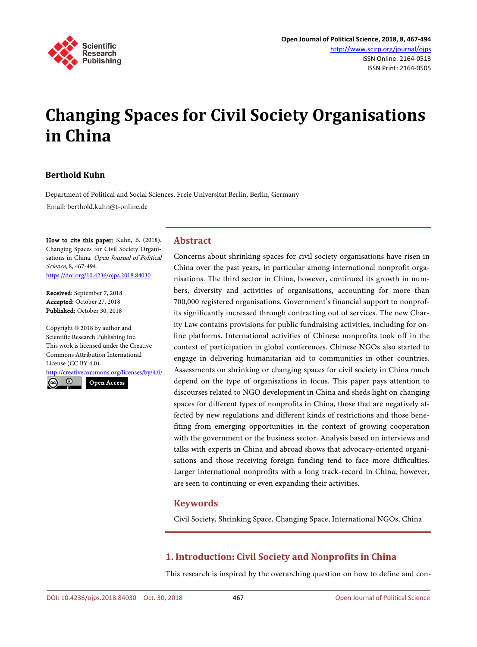

# **Changing Spaces for Civil Society Organisations in China**

# **Berthold Kuhn**

Department of Political and Social Sciences, Freie Universitat Berlin, Berlin, Germany Email: berthold.kuhn@t-online.de

How to cite this paper: Kuhn, B. (2018). Changing Spaces for Civil Society Organisations in China. Open Journal of Political Science, 8, 467-494. <https://doi.org/10.4236/ojps.2018.84030>

Received: September 7, 2018 Accepted: October 27, 2018 Published: October 30, 2018

Copyright © 2018 by author and Scientific Research Publishing Inc. This work is licensed under the Creative Commons Attribution International License (CC BY 4.0).

<http://creativecommons.org/licenses/by/4.0/>

 $\odot$ Open Access

# **Abstract**

Concerns about shrinking spaces for civil society organisations have risen in China over the past years, in particular among international nonprofit organisations. The third sector in China, however, continued its growth in numbers, diversity and activities of organisations, accounting for more than 700,000 registered organisations. Government's financial support to nonprofits significantly increased through contracting out of services. The new Charity Law contains provisions for public fundraising activities, including for online platforms. International activities of Chinese nonprofits took off in the context of participation in global conferences. Chinese NGOs also started to engage in delivering humanitarian aid to communities in other countries. Assessments on shrinking or changing spaces for civil society in China much depend on the type of organisations in focus. This paper pays attention to discourses related to NGO development in China and sheds light on changing spaces for different types of nonprofits in China, those that are negatively affected by new regulations and different kinds of restrictions and those benefiting from emerging opportunities in the context of growing cooperation with the government or the business sector. Analysis based on interviews and talks with experts in China and abroad shows that advocacy-oriented organisations and those receiving foreign funding tend to face more difficulties. Larger international nonprofits with a long track-record in China, however, are seen to continuing or even expanding their activities.

# **Keywords**

Civil Society, Shrinking Space, Changing Space, International NGOs, China

# **1. Introduction: Civil Society and Nonprofits in China**

This research is inspired by the overarching question on how to define and con-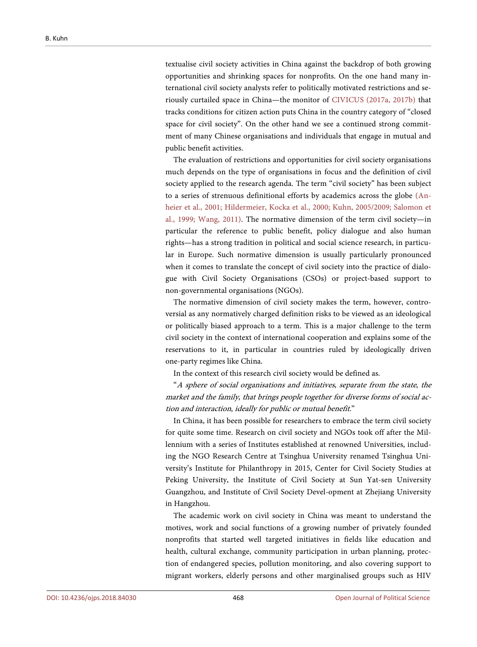textualise civil society activities in China against the backdrop of both growing opportunities and shrinking spaces for nonprofits. On the one hand many international civil society analysts refer to politically motivated restrictions and seriously curtailed space in China—the monitor of [CIVICUS \(2017a,](#page-25-0) [2017b\)](#page-25-0) that tracks conditions for citizen action puts China in the country category of "closed space for civil society". On the other hand we see a continued strong commitment of many Chinese organisations and individuals that engage in mutual and public benefit activities.

The evaluation of restrictions and opportunities for civil society organisations much depends on the type of organisations in focus and the definition of civil society applied to the research agenda. The term "civil society" has been subject to a series of strenuous definitional efforts by academics across the globe [\(An](#page-24-0)[heier et al.,](#page-24-0) 2001; [Hildermeier, Kocka et al.,](#page-26-0) 2000; Kuhn, [2005/2009;](#page-26-1) [Salomon et](#page-26-2)  al., [1999;](#page-26-2) [Wang,](#page-27-0) 2011). The normative dimension of the term civil society—in particular the reference to public benefit, policy dialogue and also human rights—has a strong tradition in political and social science research, in particular in Europe. Such normative dimension is usually particularly pronounced when it comes to translate the concept of civil society into the practice of dialogue with Civil Society Organisations (CSOs) or project-based support to non-governmental organisations (NGOs).

The normative dimension of civil society makes the term, however, controversial as any normatively charged definition risks to be viewed as an ideological or politically biased approach to a term. This is a major challenge to the term civil society in the context of international cooperation and explains some of the reservations to it, in particular in countries ruled by ideologically driven one-party regimes like China.

In the context of this research civil society would be defined as.

"A sphere of social organisations and initiatives, separate from the state, the market and the family, that brings people together for diverse forms of social action and interaction, ideally for public or mutual benefit."

In China, it has been possible for researchers to embrace the term civil society for quite some time. Research on civil society and NGOs took off after the Millennium with a series of Institutes established at renowned Universities, including the NGO Research Centre at Tsinghua University renamed Tsinghua University's Institute for Philanthropy in 2015, Center for Civil Society Studies at Peking University, the Institute of Civil Society at Sun Yat-sen University Guangzhou, and Institute of Civil Society Devel-opment at Zhejiang University in Hangzhou.

The academic work on civil society in China was meant to understand the motives, work and social functions of a growing number of privately founded nonprofits that started well targeted initiatives in fields like education and health, cultural exchange, community participation in urban planning, protection of endangered species, pollution monitoring, and also covering support to migrant workers, elderly persons and other marginalised groups such as HIV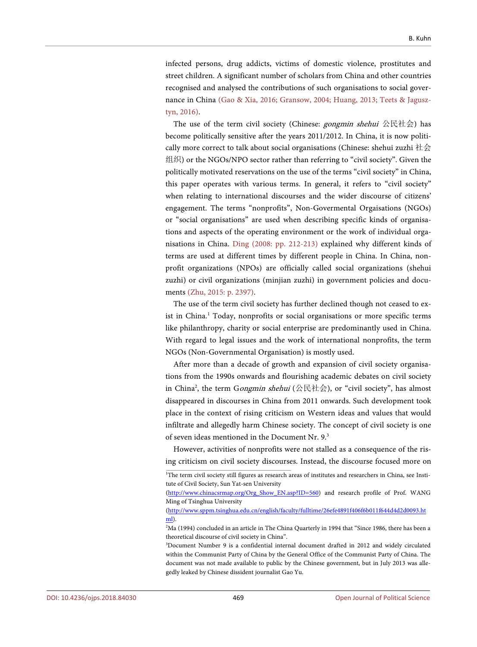infected persons, drug addicts, victims of domestic violence, prostitutes and street children. A significant number of scholars from China and other countries recognised and analysed the contributions of such organisations to social governance in China [\(Gao & Xia,](#page-25-1) 2016; [Gransow,](#page-25-2) 2004; [Huang,](#page-26-3) 2013; [Teets & Jagusz](#page-27-1)tyn, [2016\).](#page-27-1)

The use of the term civil society (Chinese: *gongmin shehui* 公民社会) has become politically sensitive after the years 2011/2012. In China, it is now politically more correct to talk about social organisations (Chinese: shehui zuzhi 社会 组织) or the NGOs/NPO sector rather than referring to "civil society". Given the politically motivated reservations on the use of the terms "civil society" in China, this paper operates with various terms. In general, it refers to "civil society" when relating to international discourses and the wider discourse of citizens' engagement. The terms "nonprofits", Non-Govermental Orgaisations (NGOs) or "social organisations" are used when describing specific kinds of organisations and aspects of the operating environment or the work of individual organisations in China. [Ding \(2008: pp. 212-213\)](#page-25-3) explained why different kinds of terms are used at different times by different people in China. In China, nonprofit organizations (NPOs) are officially called social organizations (shehui zuzhi) or civil organizations (minjian zuzhi) in government policies and documents (Zhu, [2015: p. 2397\).](#page-27-2)

The use of the term civil society has further declined though not ceased to exist in China.<sup>1</sup> Today, nonprofits or social organisations or more specific terms like philanthropy, charity or social enterprise are predominantly used in China. With regard to legal issues and the work of international nonprofits, the term NGOs (Non-Governmental Organisation) is mostly used.

After more than a decade of growth and expansion of civil society organisations from the 1990s onwards and flourishing academic debates on civil society in China<sup>2</sup>, the term Gongmin shehui (公民社会), or "civil society", has almost disappeared in discourses in China from 2011 onwards. Such development took place in the context of rising criticism on Western ideas and values that would infiltrate and allegedly harm Chinese society. The concept of civil society is one of seven ideas mentioned in the Document Nr. 9.<sup>3</sup>

However, activities of nonprofits were not stalled as a consequence of the rising criticism on civil society discourses. Instead, the discourse focused more on

<sup>&</sup>lt;sup>1</sup>The term civil society still figures as research areas of institutes and researchers in China, see Institute of Civil Society, Sun Yat-sen University

[<sup>\(</sup>http://www.chinacsrmap.org/Org\\_Show\\_EN.asp?ID=560\)](http://www.chinacsrmap.org/Org_Show_EN.asp?ID=560) and research profile of Prof. WANG Ming of Tsinghua University

[<sup>\(</sup>http://www.sppm.tsinghua.edu.cn/english/faculty/fulltime/26efe4891f406f6b011f644d4d2d0093.ht](http://www.sppm.tsinghua.edu.cn/english/faculty/fulltime/26efe4891f406f6b011f644d4d2d0093.html) [ml\)](http://www.sppm.tsinghua.edu.cn/english/faculty/fulltime/26efe4891f406f6b011f644d4d2d0093.html).

<sup>2</sup> Ma (1994) concluded in an article in The China Quarterly in 1994 that "Since 1986, there has been a theoretical discourse of civil society in China".

<sup>3</sup> Document Number 9 is a confidential internal document drafted in 2012 and widely circulated within the Communist Party of China by the General Office of the Communist Party of China. The document was not made available to public by the Chinese government, but in July 2013 was allegedly leaked by Chinese dissident journalist Gao Yu.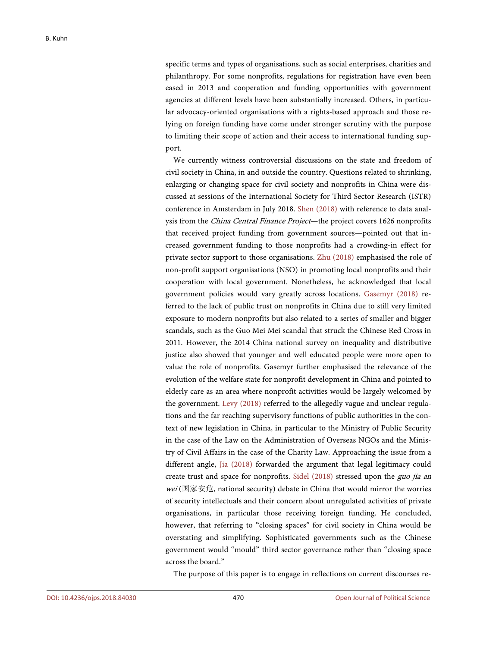specific terms and types of organisations, such as social enterprises, charities and philanthropy. For some nonprofits, regulations for registration have even been eased in 2013 and cooperation and funding opportunities with government agencies at different levels have been substantially increased. Others, in particular advocacy-oriented organisations with a rights-based approach and those relying on foreign funding have come under stronger scrutiny with the purpose to limiting their scope of action and their access to international funding support.

We currently witness controversial discussions on the state and freedom of civil society in China, in and outside the country. Questions related to shrinking, enlarging or changing space for civil society and nonprofits in China were discussed at sessions of the International Society for Third Sector Research (ISTR) conference in Amsterdam in July 2018. [Shen \(2018\)](#page-26-4) with reference to data analysis from the China Central Finance Project—the project covers 1626 nonprofits that received project funding from government sources—pointed out that increased government funding to those nonprofits had a crowding-in effect for private sector support to those organisations. [Zhu \(2018\)](#page-27-3) emphasised the role of non-profit support organisations (NSO) in promoting local nonprofits and their cooperation with local government. Nonetheless, he acknowledged that local government policies would vary greatly across locations. [Gasemyr \(2018\)](#page-25-4) referred to the lack of public trust on nonprofits in China due to still very limited exposure to modern nonprofits but also related to a series of smaller and bigger scandals, such as the Guo Mei Mei scandal that struck the Chinese Red Cross in 2011. However, the 2014 China national survey on inequality and distributive justice also showed that younger and well educated people were more open to value the role of nonprofits. Gasemyr further emphasised the relevance of the evolution of the welfare state for nonprofit development in China and pointed to elderly care as an area where nonprofit activities would be largely welcomed by the government. [Levy \(2018\)](#page-26-5) referred to the allegedly vague and unclear regulations and the far reaching supervisory functions of public authorities in the context of new legislation in China, in particular to the Ministry of Public Security in the case of the Law on the Administration of Overseas NGOs and the Ministry of Civil Affairs in the case of the Charity Law. Approaching the issue from a different angle, [Jia \(2018\)](#page-26-6) forwarded the argument that legal legitimacy could create trust and space for nonprofits. [Sidel \(2018\)](#page-26-7) stressed upon the guo jia an *wei* (国家安危, national security) debate in China that would mirror the worries of security intellectuals and their concern about unregulated activities of private organisations, in particular those receiving foreign funding. He concluded, however, that referring to "closing spaces" for civil society in China would be overstating and simplifying. Sophisticated governments such as the Chinese government would "mould" third sector governance rather than "closing space across the board."

The purpose of this paper is to engage in reflections on current discourses re-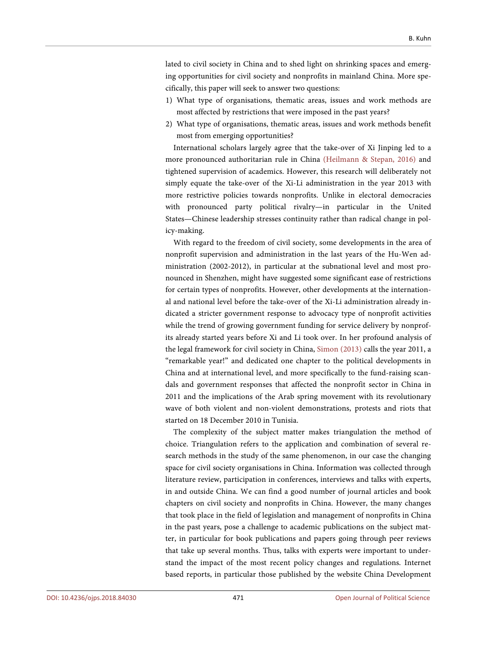lated to civil society in China and to shed light on shrinking spaces and emerging opportunities for civil society and nonprofits in mainland China. More specifically, this paper will seek to answer two questions:

- 1) What type of organisations, thematic areas, issues and work methods are most affected by restrictions that were imposed in the past years?
- 2) What type of organisations, thematic areas, issues and work methods benefit most from emerging opportunities?

International scholars largely agree that the take-over of Xi Jinping led to a more pronounced authoritarian rule in China [\(Heilmann & Stepan,](#page-25-5) 2016) and tightened supervision of academics. However, this research will deliberately not simply equate the take-over of the Xi-Li administration in the year 2013 with more restrictive policies towards nonprofits. Unlike in electoral democracies with pronounced party political rivalry—in particular in the United States—Chinese leadership stresses continuity rather than radical change in policy-making.

With regard to the freedom of civil society, some developments in the area of nonprofit supervision and administration in the last years of the Hu-Wen administration (2002-2012), in particular at the subnational level and most pronounced in Shenzhen, might have suggested some significant ease of restrictions for certain types of nonprofits. However, other developments at the international and national level before the take-over of the Xi-Li administration already indicated a stricter government response to advocacy type of nonprofit activities while the trend of growing government funding for service delivery by nonprofits already started years before Xi and Li took over. In her profound analysis of the legal framework for civil society in China, [Simon \(2013\)](#page-26-8) calls the year 2011, a "remarkable year!" and dedicated one chapter to the political developments in China and at international level, and more specifically to the fund-raising scandals and government responses that affected the nonprofit sector in China in 2011 and the implications of the Arab spring movement with its revolutionary wave of both violent and non-violent demonstrations, protests and riots that started on 18 December 2010 in Tunisia.

The complexity of the subject matter makes triangulation the method of choice. Triangulation refers to the application and combination of several research methods in the study of the same phenomenon, in our case the changing space for civil society organisations in China. Information was collected through literature review, participation in conferences, interviews and talks with experts, in and outside China. We can find a good number of journal articles and book chapters on civil society and nonprofits in China. However, the many changes that took place in the field of legislation and management of nonprofits in China in the past years, pose a challenge to academic publications on the subject matter, in particular for book publications and papers going through peer reviews that take up several months. Thus, talks with experts were important to understand the impact of the most recent policy changes and regulations. Internet based reports, in particular those published by the website China Development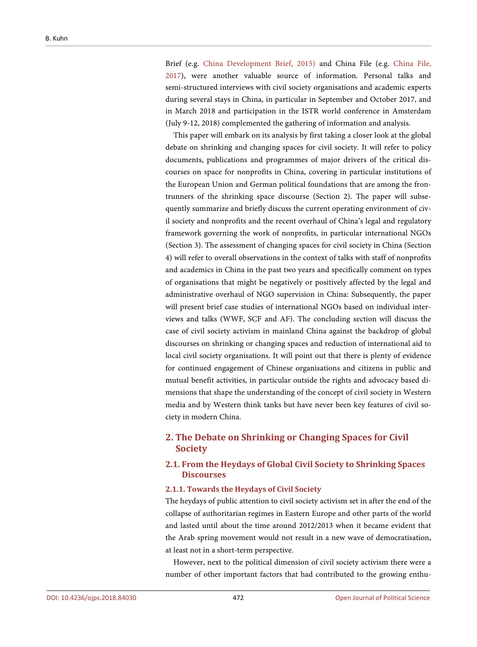Brief (e.g. [China Development Brief,](#page-24-1) 2015) and China File (e.g. [China File,](#page-24-2) [2017\)](#page-24-2), were another valuable source of information. Personal talks and semi-structured interviews with civil society organisations and academic experts during several stays in China, in particular in September and October 2017, and in March 2018 and participation in the ISTR world conference in Amsterdam (July 9-12, 2018) complemented the gathering of information and analysis.

This paper will embark on its analysis by first taking a closer look at the global debate on shrinking and changing spaces for civil society. It will refer to policy documents, publications and programmes of major drivers of the critical discourses on space for nonprofits in China, covering in particular institutions of the European Union and German political foundations that are among the frontrunners of the shrinking space discourse (Section 2). The paper will subsequently summarize and briefly discuss the current operating environment of civil society and nonprofits and the recent overhaul of China's legal and regulatory framework governing the work of nonprofits, in particular international NGOs (Section 3). The assessment of changing spaces for civil society in China (Section 4) will refer to overall observations in the context of talks with staff of nonprofits and academics in China in the past two years and specifically comment on types of organisations that might be negatively or positively affected by the legal and administrative overhaul of NGO supervision in China: Subsequently, the paper will present brief case studies of international NGOs based on individual interviews and talks (WWF, SCF and AF). The concluding section will discuss the case of civil society activism in mainland China against the backdrop of global discourses on shrinking or changing spaces and reduction of international aid to local civil society organisations. It will point out that there is plenty of evidence for continued engagement of Chinese organisations and citizens in public and mutual benefit activities, in particular outside the rights and advocacy based dimensions that shape the understanding of the concept of civil society in Western media and by Western think tanks but have never been key features of civil society in modern China.

# **2. The Debate on Shrinking or Changing Spaces for Civil Society**

# **2.1. From the Heydays of Global Civil Society to Shrinking Spaces Discourses**

#### **2.1.1. Towards the Heydays of Civil Society**

The heydays of public attention to civil society activism set in after the end of the collapse of authoritarian regimes in Eastern Europe and other parts of the world and lasted until about the time around 2012/2013 when it became evident that the Arab spring movement would not result in a new wave of democratisation, at least not in a short-term perspective.

However, next to the political dimension of civil society activism there were a number of other important factors that had contributed to the growing enthu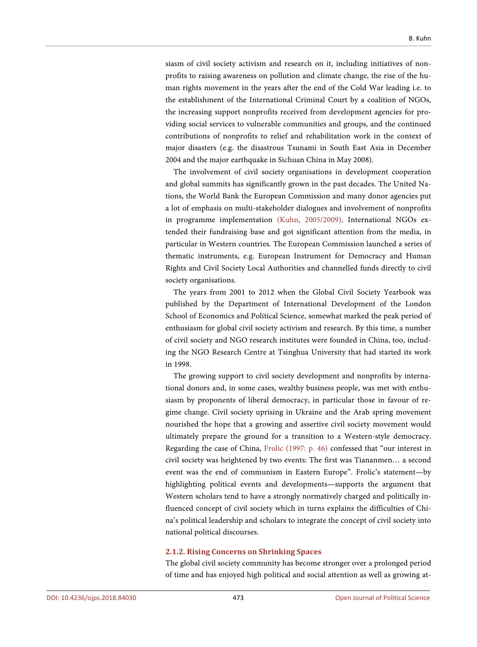siasm of civil society activism and research on it, including initiatives of nonprofits to raising awareness on pollution and climate change, the rise of the human rights movement in the years after the end of the Cold War leading i.e. to the establishment of the International Criminal Court by a coalition of NGOs, the increasing support nonprofits received from development agencies for providing social services to vulnerable communities and groups, and the continued contributions of nonprofits to relief and rehabilitation work in the context of major disasters (e.g. the disastrous Tsunami in South East Asia in December 2004 and the major earthquake in Sichuan China in May 2008).

The involvement of civil society organisations in development cooperation and global summits has significantly grown in the past decades. The United Nations, the World Bank the European Commission and many donor agencies put a lot of emphasis on multi-stakeholder dialogues and involvement of nonprofits in programme implementation (Kuhn, [2005/2009\).](#page-26-1) International NGOs extended their fundraising base and got significant attention from the media, in particular in Western countries. The European Commission launched a series of thematic instruments, e.g. European Instrument for Democracy and Human Rights and Civil Society Local Authorities and channelled funds directly to civil society organisations.

The years from 2001 to 2012 when the Global Civil Society Yearbook was published by the Department of International Development of the London School of Economics and Political Science, somewhat marked the peak period of enthusiasm for global civil society activism and research. By this time, a number of civil society and NGO research institutes were founded in China, too, including the NGO Research Centre at Tsinghua University that had started its work in 1998.

The growing support to civil society development and nonprofits by international donors and, in some cases, wealthy business people, was met with enthusiasm by proponents of liberal democracy, in particular those in favour of regime change. Civil society uprising in Ukraine and the Arab spring movement nourished the hope that a growing and assertive civil society movement would ultimately prepare the ground for a transition to a Western-style democracy. Regarding the case of China, [Frolic \(1997: p. 46\)](#page-25-6) confessed that "our interest in civil society was heightened by two events: The first was Tiananmen… a second event was the end of communism in Eastern Europe". Frolic's statement—by highlighting political events and developments—supports the argument that Western scholars tend to have a strongly normatively charged and politically influenced concept of civil society which in turns explains the difficulties of China's political leadership and scholars to integrate the concept of civil society into national political discourses.

#### **2.1.2. Rising Concerns on Shrinking Spaces**

The global civil society community has become stronger over a prolonged period of time and has enjoyed high political and social attention as well as growing at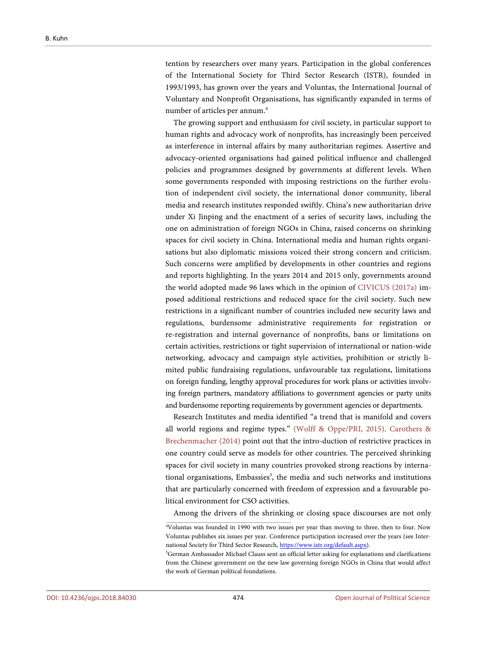tention by researchers over many years. Participation in the global conferences of the International Society for Third Sector Research (ISTR), founded in 1993/1993, has grown over the years and Voluntas, the International Journal of Voluntary and Nonprofit Organisations, has significantly expanded in terms of number of articles per annum.<sup>4</sup>

The growing support and enthusiasm for civil society, in particular support to human rights and advocacy work of nonprofits, has increasingly been perceived as interference in internal affairs by many authoritarian regimes. Assertive and advocacy-oriented organisations had gained political influence and challenged policies and programmes designed by governments at different levels. When some governments responded with imposing restrictions on the further evolution of independent civil society, the international donor community, liberal media and research institutes responded swiftly. China's new authoritarian drive under Xi Jinping and the enactment of a series of security laws, including the one on administration of foreign NGOs in China, raised concerns on shrinking spaces for civil society in China. International media and human rights organisations but also diplomatic missions voiced their strong concern and criticism. Such concerns were amplified by developments in other countries and regions and reports highlighting. In the years 2014 and 2015 only, governments around the world adopted made 96 laws which in the opinion of [CIVICUS \(2017a\)](#page-25-0) imposed additional restrictions and reduced space for the civil society. Such new restrictions in a significant number of countries included new security laws and regulations, burdensome administrative requirements for registration or re-registration and internal governance of nonprofits, bans or limitations on certain activities, restrictions or tight supervision of international or nation-wide networking, advocacy and campaign style activities, prohibition or strictly limited public fundraising regulations, unfavourable tax regulations, limitations on foreign funding, lengthy approval procedures for work plans or activities involving foreign partners, mandatory affiliations to government agencies or party units and burdensome reporting requirements by government agencies or departments.

Research Institutes and media identified "a trend that is manifold and covers all world regions and regime types." [\(Wolff & Oppe/PRI, 2015\).](#page-27-4) [Carothers &](#page-24-3)  [Brechenmacher \(2014\)](#page-24-3) point out that the intro-duction of restrictive practices in one country could serve as models for other countries. The perceived shrinking spaces for civil society in many countries provoked strong reactions by international organisations, Embassies<sup>5</sup>, the media and such networks and institutions that are particularly concerned with freedom of expression and a favourable political environment for CSO activities.

Among the drivers of the shrinking or closing space discourses are not only

<sup>4</sup> Voluntas was founded in 1990 with two issues per year than moving to three, then to four. Now Voluntas publishes six issues per year. Conference participation increased over the years (see International Society for Third Sector Research[, https://www.istr.org/default.aspx\)](https://www.istr.org/default.aspx).

<sup>5</sup> German Ambassador Michael Clauss sent an official letter asking for explanations and clarifications from the Chinese government on the new law governing foreign NGOs in China that would affect the work of German political foundations.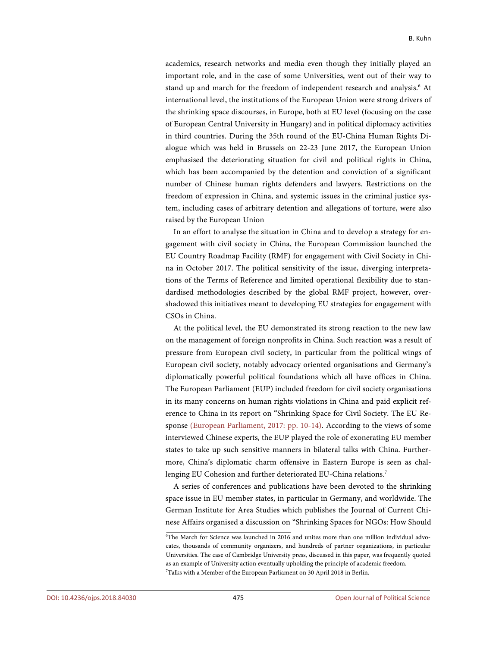academics, research networks and media even though they initially played an important role, and in the case of some Universities, went out of their way to stand up and march for the freedom of independent research and analysis.<sup>6</sup> At international level, the institutions of the European Union were strong drivers of the shrinking space discourses, in Europe, both at EU level (focusing on the case of European Central University in Hungary) and in political diplomacy activities in third countries. During the 35th round of the EU-China Human Rights Dialogue which was held in Brussels on 22-23 June 2017, the European Union emphasised the deteriorating situation for civil and political rights in China, which has been accompanied by the detention and conviction of a significant number of Chinese human rights defenders and lawyers. Restrictions on the freedom of expression in China, and systemic issues in the criminal justice system, including cases of arbitrary detention and allegations of torture, were also raised by the European Union

In an effort to analyse the situation in China and to develop a strategy for engagement with civil society in China, the European Commission launched the EU Country Roadmap Facility (RMF) for engagement with Civil Society in China in October 2017. The political sensitivity of the issue, diverging interpretations of the Terms of Reference and limited operational flexibility due to standardised methodologies described by the global RMF project, however, overshadowed this initiatives meant to developing EU strategies for engagement with CSOs in China.

At the political level, the EU demonstrated its strong reaction to the new law on the management of foreign nonprofits in China. Such reaction was a result of pressure from European civil society, in particular from the political wings of European civil society, notably advocacy oriented organisations and Germany's diplomatically powerful political foundations which all have offices in China. The European Parliament (EUP) included freedom for civil society organisations in its many concerns on human rights violations in China and paid explicit reference to China in its report on "Shrinking Space for Civil Society. The EU Response [\(European Parliament,](#page-25-7) 2017: pp. 10-14). According to the views of some interviewed Chinese experts, the EUP played the role of exonerating EU member states to take up such sensitive manners in bilateral talks with China. Furthermore, China's diplomatic charm offensive in Eastern Europe is seen as challenging EU Cohesion and further deteriorated EU-China relations.<sup>7</sup>

A series of conferences and publications have been devoted to the shrinking space issue in EU member states, in particular in Germany, and worldwide. The German Institute for Area Studies which publishes the Journal of Current Chinese Affairs organised a discussion on "Shrinking Spaces for NGOs: How Should

<sup>6</sup> The March for Science was launched in 2016 and unites more than one million individual advocates, thousands of community organizers, and hundreds of partner organizations, in particular Universities. The case of Cambridge University press, discussed in this paper, was frequently quoted as an example of University action eventually upholding the principle of academic freedom. 7 Talks with a Member of the European Parliament on 30 April 2018 in Berlin.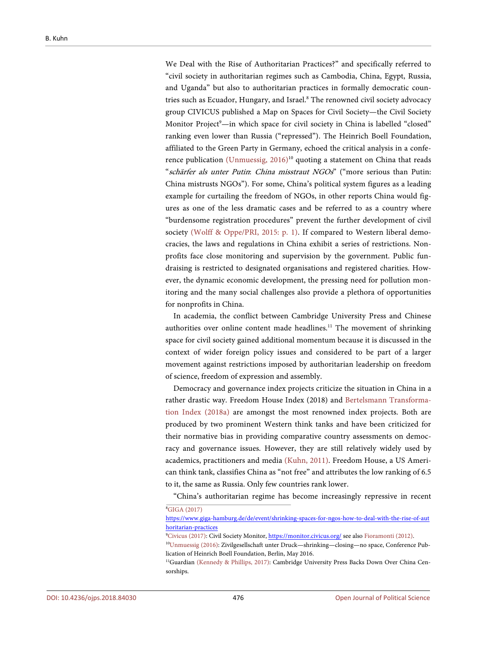We Deal with the Rise of Authoritarian Practices?" and specifically referred to "civil society in authoritarian regimes such as Cambodia, China, Egypt, Russia, and Uganda" but also to authoritarian practices in formally democratic countries such as Ecuador, Hungary, and Israel.<sup>8</sup> The renowned civil society advocacy group CIVICUS published a Map on Spaces for Civil Society—the Civil Society Monitor Project<sup>9</sup>—in which space for civil society in China is labelled "closed" ranking even lower than Russia ("repressed"). The Heinrich Boell Foundation, affiliated to the Green Party in Germany, echoed the critical analysis in a confe-rence publication [\(Unmuessig,](#page-27-5)  $2016$ <sup>10</sup> quoting a statement on China that reads "schärfer als unter Putin: China misstraut NGOs" ("more serious than Putin: China mistrusts NGOs"). For some, China's political system figures as a leading example for curtailing the freedom of NGOs, in other reports China would figures as one of the less dramatic cases and be referred to as a country where "burdensome registration procedures" prevent the further development of civil society [\(Wolff & Oppe/PRI,](#page-27-4) 2015: p. 1). If compared to Western liberal democracies, the laws and regulations in China exhibit a series of restrictions. Nonprofits face close monitoring and supervision by the government. Public fundraising is restricted to designated organisations and registered charities. However, the dynamic economic development, the pressing need for pollution monitoring and the many social challenges also provide a plethora of opportunities for nonprofits in China.

In academia, the conflict between Cambridge University Press and Chinese authorities over online content made headlines.<sup>11</sup> The movement of shrinking space for civil society gained additional momentum because it is discussed in the context of wider foreign policy issues and considered to be part of a larger movement against restrictions imposed by authoritarian leadership on freedom of science, freedom of expression and assembly.

Democracy and governance index projects criticize the situation in China in a rather drastic way. Freedom House Index (2018) and [Bertelsmann Transforma](#page-24-4)[tion Index \(2018a\)](#page-24-4) are amongst the most renowned index projects. Both are produced by two prominent Western think tanks and have been criticized for their normative bias in providing comparative country assessments on democracy and governance issues. However, they are still relatively widely used by academics, practitioners and media [\(Kuhn,](#page-26-9) 2011). Freedom House, a US American think tank, classifies China as "not free" and attributes the low ranking of 6.5 to it, the same as Russia. Only few countries rank lower.

"China's authoritarian regime has become increasingly repressive in recent 8 GIGA [\(2017\)](#page-25-8)

[https://www.giga-hamburg.de/de/event/shrinking-spaces-for-ngos-how-to-deal-with-the-rise-of-aut](https://www.giga-hamburg.de/de/event/shrinking-spaces-for-ngos-how-to-deal-with-the-rise-of-authoritarian-practices) [horitarian-practices](https://www.giga-hamburg.de/de/event/shrinking-spaces-for-ngos-how-to-deal-with-the-rise-of-authoritarian-practices)

<sup>&</sup>lt;sup>9</sup>[Civicus \(2017\):](#page-25-0) Civil Society Monitor[, https://monitor.civicus.org/](https://monitor.civicus.org/) see also [Fioramonti \(2012\).](#page-25-9)

<sup>10</sup> [Unmuessig](#page-27-5) (2016): Zivilgesellschaft unter Druck—shrinking—closing—no space, Conference Publication of Heinrich Boell Foundation, Berlin, May 2016.

<sup>11</sup> Guardian (Kennedy & [Phillips, 2017\):](#page-26-10) Cambridge University Press Backs Down Over China Censorships.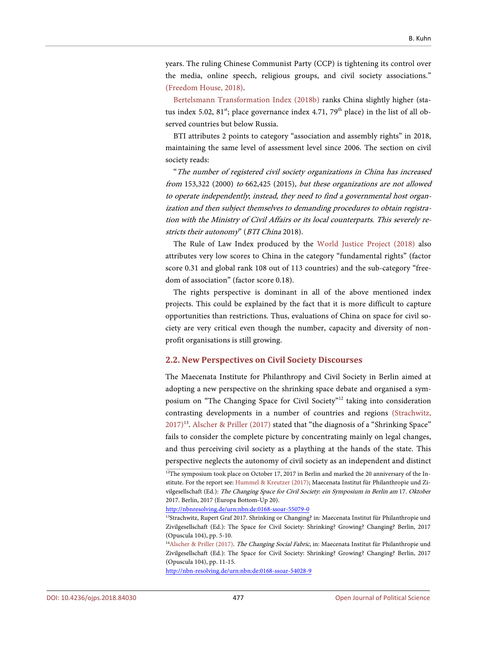years. The ruling Chinese Communist Party (CCP) is tightening its control over the media, online speech, religious groups, and civil society associations." [\(Freedom House,](#page-25-10) 2018).

[Bertelsmann Transformation Index \(2018b\)](#page-24-5) ranks China slightly higher (status index 5.02,  $81<sup>st</sup>$ ; place governance index 4.71, 79<sup>th</sup> place) in the list of all observed countries but below Russia.

BTI attributes 2 points to category "association and assembly rights" in 2018, maintaining the same level of assessment level since 2006. The section on civil society reads:

"The number of registered civil society organizations in China has increased from 153,322 (2000) to 662,425 (2015), but these organizations are not allowed to operate independently; instead, they need to find a governmental host organization and then subject themselves to demanding procedures to obtain registration with the Ministry of Civil Affairs or its local counterparts. This severely restricts their autonomy" (BTI China 2018).

The Rule of Law Index produced by the [World Justice Project \(2018\)](#page-27-6) also attributes very low scores to China in the category "fundamental rights" (factor score 0.31 and global rank 108 out of 113 countries) and the sub-category "freedom of association" (factor score 0.18).

The rights perspective is dominant in all of the above mentioned index projects. This could be explained by the fact that it is more difficult to capture opportunities than restrictions. Thus, evaluations of China on space for civil society are very critical even though the number, capacity and diversity of nonprofit organisations is still growing.

#### **2.2. New Perspectives on Civil Society Discourses**

The Maecenata Institute for Philanthropy and Civil Society in Berlin aimed at adopting a new perspective on the shrinking space debate and organised a symposium on "The Changing Space for Civil Society"<sup>12</sup> taking into consideration contrasting developments in a number of countries and regions [\(Strachwitz,](#page-26-11) [2017\)](#page-26-11)<sup>13</sup>. Alscher & [Priller \(2017\)](#page-24-6) stated that "the diagnosis of a "Shrinking Space" fails to consider the complete picture by concentrating mainly on legal changes, and thus perceiving civil society as a plaything at the hands of the state. This perspective neglects the autonomy of civil society as an independent and distinct

<http://nbnresolving.de/urn:nbn:de:0168-ssoar-55079-0>

<http://nbn-resolving.de/urn:nbn:de:0168-ssoar-54028-9>

<sup>&</sup>lt;sup>12</sup>The symposium took place on October 17, 2017 in Berlin and marked the 20 anniversary of the Institute. For the report see: [Hummel](#page-26-12) & Kreutzer (2017); Maecenata Institut für Philanthropie und Zivilgesellschaft (Ed.): The Changing Space for Civil Society: ein Symposium in Berlin am 17. Oktober 2017. Berlin, 2017 (Europa Bottom-Up 20).

<sup>&</sup>lt;sup>13</sup>Strachwitz, Rupert Graf 2017. Shrinking or Changing? in: Maecenata Institut für Philanthropie und Zivilgesellschaft (Ed.): The Space for Civil Society: Shrinking? Growing? Changing? Berlin, 2017 (Opuscula 104), pp. 5-10.

<sup>&</sup>lt;sup>14</sup>Alscher & [Priller \(2017\).](#page-24-6) The Changing Social Fabric, in: Maecenata Institut für Philanthropie und Zivilgesellschaft (Ed.): The Space for Civil Society: Shrinking? Growing? Changing? Berlin, 2017 (Opuscula 104), pp. 11-15.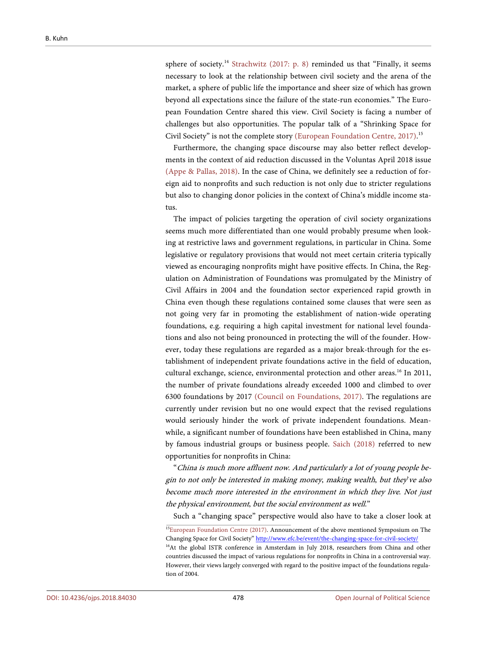sphere of society.<sup>14</sup> [Strachwitz \(2017: p.](#page-26-11) 8) reminded us that "Finally, it seems necessary to look at the relationship between civil society and the arena of the market, a sphere of public life the importance and sheer size of which has grown beyond all expectations since the failure of the state-run economies." The European Foundation Centre shared this view. Civil Society is facing a number of challenges but also opportunities. The popular talk of a "Shrinking Space for Civil Society" is not the complete story [\(European Foundation Centre,](#page-25-11) 2017).<sup>15</sup>

Furthermore, the changing space discourse may also better reflect developments in the context of aid reduction discussed in the Voluntas April 2018 issue [\(Appe & Pallas,](#page-24-7) 2018). In the case of China, we definitely see a reduction of foreign aid to nonprofits and such reduction is not only due to stricter regulations but also to changing donor policies in the context of China's middle income status.

The impact of policies targeting the operation of civil society organizations seems much more differentiated than one would probably presume when looking at restrictive laws and government regulations, in particular in China. Some legislative or regulatory provisions that would not meet certain criteria typically viewed as encouraging nonprofits might have positive effects. In China, the Regulation on Administration of Foundations was promulgated by the Ministry of Civil Affairs in 2004 and the foundation sector experienced rapid growth in China even though these regulations contained some clauses that were seen as not going very far in promoting the establishment of nation-wide operating foundations, e.g. requiring a high capital investment for national level foundations and also not being pronounced in protecting the will of the founder. However, today these regulations are regarded as a major break-through for the establishment of independent private foundations active in the field of education, cultural exchange, science, environmental protection and other areas.<sup>16</sup> In 2011, the number of private foundations already exceeded 1000 and climbed to over 6300 foundations by 2017 [\(Council on Foundations,](#page-25-12) 2017). The regulations are currently under revision but no one would expect that the revised regulations would seriously hinder the work of private independent foundations. Meanwhile, a significant number of foundations have been established in China, many by famous industrial groups or business people. [Saich \(2018\)](#page-26-13) referred to new opportunities for nonprofits in China:

"China is much more affluent now. And particularly a lot of young people begin to not only be interested in making money, making wealth, but they've also become much more interested in the environment in which they live. Not just the physical environment, but the social environment as well."

Such a "changing space" perspective would also have to take a closer look at

<sup>&</sup>lt;sup>15</sup>[European Foundation Centre \(2017\).](#page-25-11) Announcement of the above mentioned Symposium on The Changing Space for Civil Society[" http://www.efc.be/event/the-changing-space-for-civil-society/](http://www.efc.be/event/the-changing-space-for-civil-society/) <sup>16</sup>At the global ISTR conference in Amsterdam in July 2018, researchers from China and other countries discussed the impact of various regulations for nonprofits in China in a controversial way. However, their views largely converged with regard to the positive impact of the foundations regulation of 2004.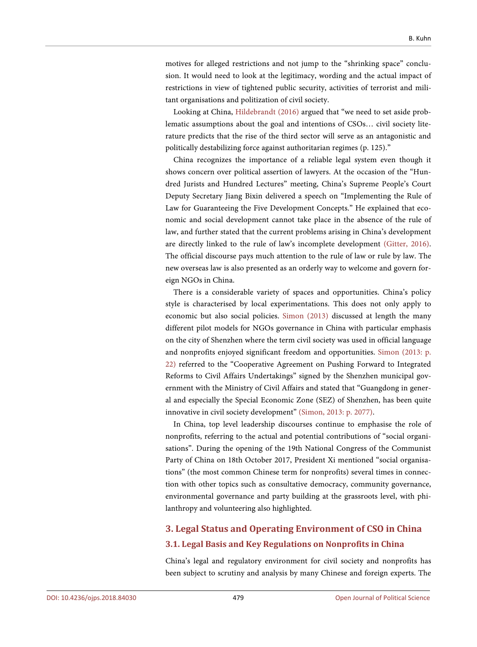motives for alleged restrictions and not jump to the "shrinking space" conclusion. It would need to look at the legitimacy, wording and the actual impact of restrictions in view of tightened public security, activities of terrorist and militant organisations and politization of civil society.

Looking at China, [Hildebrandt \(2016\)](#page-25-13) argued that "we need to set aside problematic assumptions about the goal and intentions of CSOs… civil society literature predicts that the rise of the third sector will serve as an antagonistic and politically destabilizing force against authoritarian regimes (p. 125)."

China recognizes the importance of a reliable legal system even though it shows concern over political assertion of lawyers. At the occasion of the "Hundred Jurists and Hundred Lectures" meeting, China's Supreme People's Court Deputy Secretary Jiang Bixin delivered a speech on "Implementing the Rule of Law for Guaranteeing the Five Development Concepts." He explained that economic and social development cannot take place in the absence of the rule of law, and further stated that the current problems arising in China's development are directly linked to the rule of law's incomplete development [\(Gitter,](#page-25-14) 2016). The official discourse pays much attention to the rule of law or rule by law. The new overseas law is also presented as an orderly way to welcome and govern foreign NGOs in China.

There is a considerable variety of spaces and opportunities. China's policy style is characterised by local experimentations. This does not only apply to economic but also social policies. [Simon \(2013\)](#page-26-8) discussed at length the many different pilot models for NGOs governance in China with particular emphasis on the city of Shenzhen where the term civil society was used in official language and nonprofits enjoyed significant freedom and opportunities. [Simon \(2013: p.](#page-26-8)  [22\)](#page-26-8) referred to the "Cooperative Agreement on Pushing Forward to Integrated Reforms to Civil Affairs Undertakings" signed by the Shenzhen municipal government with the Ministry of Civil Affairs and stated that "Guangdong in general and especially the Special Economic Zone (SEZ) of Shenzhen, has been quite innovative in civil society development" (Simon, [2013: p. 2077\).](#page-26-8)

In China, top level leadership discourses continue to emphasise the role of nonprofits, referring to the actual and potential contributions of "social organisations". During the opening of the 19th National Congress of the Communist Party of China on 18th October 2017, President Xi mentioned "social organisations" (the most common Chinese term for nonprofits) several times in connection with other topics such as consultative democracy, community governance, environmental governance and party building at the grassroots level, with philanthropy and volunteering also highlighted.

# **3. Legal Status and Operating Environment of CSO in China 3.1. Legal Basis and Key Regulations on Nonprofits in China**

China's legal and regulatory environment for civil society and nonprofits has been subject to scrutiny and analysis by many Chinese and foreign experts. The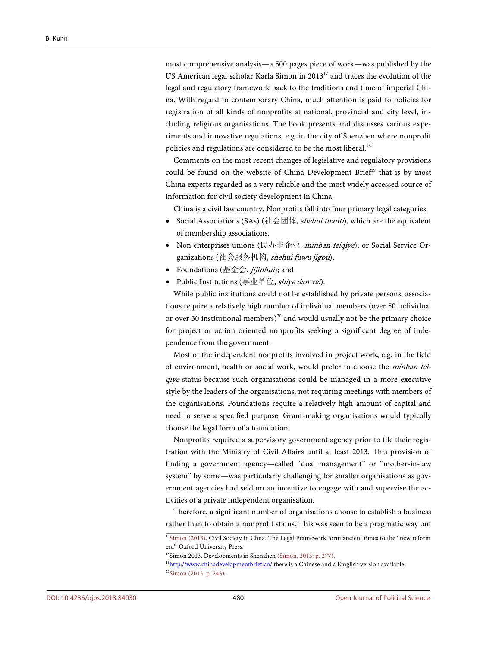most comprehensive analysis—a 500 pages piece of work—was published by the US American legal scholar Karla Simon in 2013<sup>17</sup> and traces the evolution of the legal and regulatory framework back to the traditions and time of imperial China. With regard to contemporary China, much attention is paid to policies for registration of all kinds of nonprofits at national, provincial and city level, including religious organisations. The book presents and discusses various experiments and innovative regulations, e.g. in the city of Shenzhen where nonprofit policies and regulations are considered to be the most liberal.<sup>18</sup>

Comments on the most recent changes of legislative and regulatory provisions could be found on the website of China Development Brief<sup>19</sup> that is by most China experts regarded as a very reliable and the most widely accessed source of information for civil society development in China.

China is a civil law country. Nonprofits fall into four primary legal categories.

- Social Associations (SAs) (社会团体, *shehui tuanti*), which are the equivalent of membership associations.
- Non enterprises unions (民办非企业, minban feiqiye); or Social Service Organizations (社会服务机构, shehui fuwu jigou),
- Foundations  $(\frac{1}{2} \times \frac{1}{2})$ ; and
- Public Institutions (事业单位, shiye danwei).

While public institutions could not be established by private persons, associations require a relatively high number of individual members (over 50 individual or over 30 institutional members)<sup>20</sup> and would usually not be the primary choice for project or action oriented nonprofits seeking a significant degree of independence from the government.

Most of the independent nonprofits involved in project work, e.g. in the field of environment, health or social work, would prefer to choose the minban feiqiye status because such organisations could be managed in a more executive style by the leaders of the organisations, not requiring meetings with members of the organisations. Foundations require a relatively high amount of capital and need to serve a specified purpose. Grant-making organisations would typically choose the legal form of a foundation.

Nonprofits required a supervisory government agency prior to file their registration with the Ministry of Civil Affairs until at least 2013. This provision of finding a government agency—called "dual management" or "mother-in-law system" by some—was particularly challenging for smaller organisations as government agencies had seldom an incentive to engage with and supervise the activities of a private independent organisation.

Therefore, a significant number of organisations choose to establish a business rather than to obtain a nonprofit status. This was seen to be a pragmatic way out

18 Simon 2013. Developments in Shenzhe[n \(Simon, 2013: p. 277\).](#page-26-8)

<sup>&</sup>lt;sup>17</sup>Simon [\(2013\).](#page-26-8) Civil Society in Chna. The Legal Framework form ancient times to the "new reform era"-Oxford University Press.

<sup>&</sup>lt;sup>19</sup>http://www.chinadevelopmentbrief.cn/ there is a Chinese and a Emglish version available. 20 [Simon \(2013: p. 243\).](#page-26-8)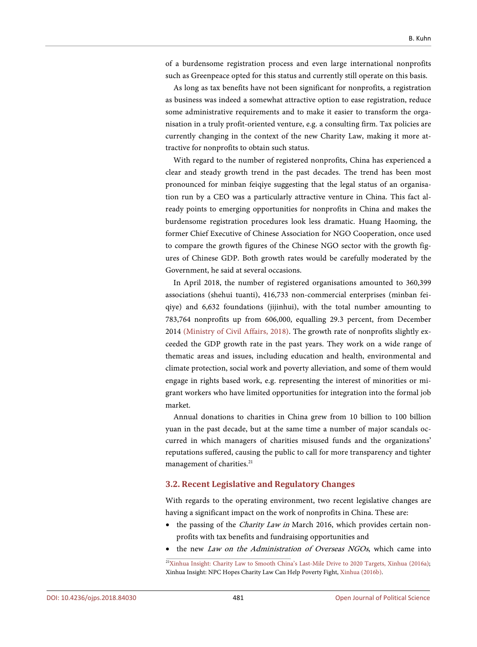of a burdensome registration process and even large international nonprofits such as Greenpeace opted for this status and currently still operate on this basis.

As long as tax benefits have not been significant for nonprofits, a registration as business was indeed a somewhat attractive option to ease registration, reduce some administrative requirements and to make it easier to transform the organisation in a truly profit-oriented venture, e.g. a consulting firm. Tax policies are currently changing in the context of the new Charity Law, making it more attractive for nonprofits to obtain such status.

With regard to the number of registered nonprofits, China has experienced a clear and steady growth trend in the past decades. The trend has been most pronounced for minban feiqiye suggesting that the legal status of an organisation run by a CEO was a particularly attractive venture in China. This fact already points to emerging opportunities for nonprofits in China and makes the burdensome registration procedures look less dramatic. Huang Haoming, the former Chief Executive of Chinese Association for NGO Cooperation, once used to compare the growth figures of the Chinese NGO sector with the growth figures of Chinese GDP. Both growth rates would be carefully moderated by the Government, he said at several occasions.

In April 2018, the number of registered organisations amounted to 360,399 associations (shehui tuanti), 416,733 non-commercial enterprises (minban feiqiye) and 6,632 foundations (jijinhui), with the total number amounting to 783,764 nonprofits up from 606,000, equalling 29.3 percent, from December 2014 [\(Ministry of Civil Affairs, 2018\).](#page-26-14) The growth rate of nonprofits slightly exceeded the GDP growth rate in the past years. They work on a wide range of thematic areas and issues, including education and health, environmental and climate protection, social work and poverty alleviation, and some of them would engage in rights based work, e.g. representing the interest of minorities or migrant workers who have limited opportunities for integration into the formal job market.

Annual donations to charities in China grew from 10 billion to 100 billion yuan in the past decade, but at the same time a number of major scandals occurred in which managers of charities misused funds and the organizations' reputations suffered, causing the public to call for more transparency and tighter management of charities.<sup>21</sup>

#### **3.2. Recent Legislative and Regulatory Changes**

With regards to the operating environment, two recent legislative changes are having a significant impact on the work of nonprofits in China. These are:

- the passing of the *Charity Law in* March 2016, which provides certain nonprofits with tax benefits and fundraising opportunities and
- the new *Law on the Administration of Overseas NGOs*, which came into

<sup>21</sup>[Xinhua Insight: Charity Law to Smooth China's Last-Mile Drive to 2020 Targets,](http://news.xinhuanet.com/english/2016-03/16/c_135194487.htm) Xinhua [\(2016a\);](#page-27-7) Xinhua Insight: NPC Hopes Charity Law Can Help Poverty Fight, Xinhua [\(2016b\).](#page-27-8)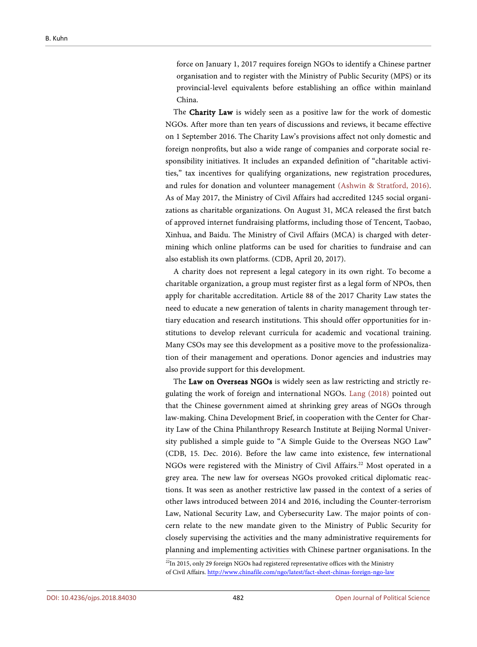force on January 1, 2017 requires foreign NGOs to identify a Chinese partner organisation and to register with the Ministry of Public Security (MPS) or its provincial-level equivalents before establishing an office within mainland China.

The Charity Law is widely seen as a positive law for the work of domestic NGOs. After more than ten years of discussions and reviews, it became effective on 1 September 2016. The Charity Law's provisions affect not only domestic and foreign nonprofits, but also a wide range of companies and corporate social responsibility initiatives. It includes an expanded definition of "charitable activities," tax incentives for qualifying organizations, new registration procedures, and rules for donation and volunteer management [\(Ashwin & Stratford, 2016\).](#page-24-8)  As of May 2017, the Ministry of Civil Affairs had accredited 1245 social organizations as charitable organizations. On August 31, MCA released the first batch of approved internet fundraising platforms, including those of Tencent, Taobao, Xinhua, and Baidu. The Ministry of Civil Affairs (MCA) is charged with determining which online platforms can be used for charities to fundraise and can also establish its own platforms. (CDB, April 20, 2017).

A charity does not represent a legal category in its own right. To become a charitable organization, a group must register first as a legal form of NPOs, then apply for charitable accreditation. Article 88 of the 2017 Charity Law states the need to educate a new generation of talents in charity management through tertiary education and research institutions. This should offer opportunities for institutions to develop relevant curricula for academic and vocational training. Many CSOs may see this development as a positive move to the professionalization of their management and operations. Donor agencies and industries may also provide support for this development.

The Law on Overseas NGOs is widely seen as law restricting and strictly regulating the work of foreign and international NGOs. [Lang \(2018\)](#page-26-15) pointed out that the Chinese government aimed at shrinking grey areas of NGOs through law-making. China Development Brief, in cooperation with the Center for Charity Law of the China Philanthropy Research Institute at Beijing Normal University published a simple guide to "A Simple Guide to the Overseas NGO Law" (CDB, 15. Dec. 2016). Before the law came into existence, few international NGOs were registered with the Ministry of Civil Affairs.<sup>22</sup> Most operated in a grey area. The new law for overseas NGOs provoked critical diplomatic reactions. It was seen as another restrictive law passed in the context of a series of other laws introduced between 2014 and 2016, including the Counter-terrorism Law, National Security Law, and Cybersecurity Law. The major points of concern relate to the new mandate given to the Ministry of Public Security for closely supervising the activities and the many administrative requirements for planning and implementing activities with Chinese partner organisations. In the

 $22$ In 2015, only 29 foreign NGOs had registered representative offices with the Ministry of Civil Affairs[. http://www.chinafile.com/ngo/latest/fact-sheet-chinas-foreign-ngo-law](http://www.chinafile.com/ngo/latest/fact-sheet-chinas-foreign-ngo-law)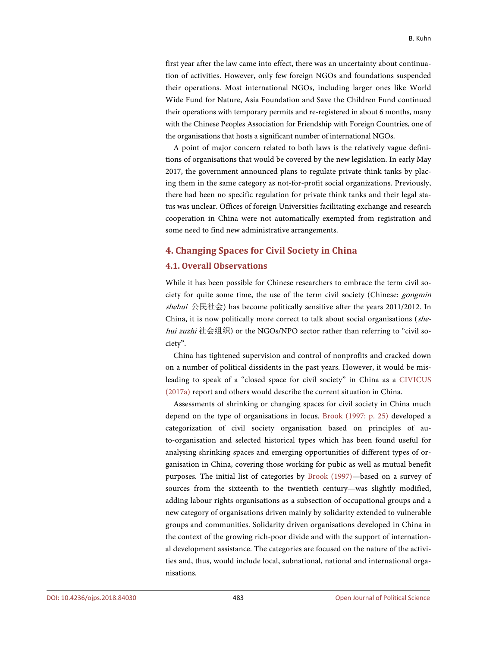first year after the law came into effect, there was an uncertainty about continuation of activities. However, only few foreign NGOs and foundations suspended their operations. Most international NGOs, including larger ones like World Wide Fund for Nature, Asia Foundation and Save the Children Fund continued their operations with temporary permits and re-registered in about 6 months, many with the Chinese Peoples Association for Friendship with Foreign Countries, one of the organisations that hosts a significant number of international NGOs.

A point of major concern related to both laws is the relatively vague definitions of organisations that would be covered by the new legislation. In early May 2017, the government announced plans to regulate private think tanks by placing them in the same category as not-for-profit social organizations. Previously, there had been no specific regulation for private think tanks and their legal status was unclear. Offices of foreign Universities facilitating exchange and research cooperation in China were not automatically exempted from registration and some need to find new administrative arrangements.

#### **4. Changing Spaces for Civil Society in China**

#### **4.1. Overall Observations**

While it has been possible for Chinese researchers to embrace the term civil society for quite some time, the use of the term civil society (Chinese: gongmin shehui 公民社会) has become politically sensitive after the years 2011/2012. In China, it is now politically more correct to talk about social organisations (shehui zuzhi 社会组织) or the NGOs/NPO sector rather than referring to "civil society".

China has tightened supervision and control of nonprofits and cracked down on a number of political dissidents in the past years. However, it would be misleading to speak of a "closed space for civil society" in China as a [CIVICUS](#page-25-0)  [\(2017a\)](#page-25-0) report and others would describe the current situation in China.

Assessments of shrinking or changing spaces for civil society in China much depend on the type of organisations in focus. [Brook \(1997: p. 25\)](#page-24-9) developed a categorization of civil society organisation based on principles of auto-organisation and selected historical types which has been found useful for analysing shrinking spaces and emerging opportunities of different types of organisation in China, covering those working for pubic as well as mutual benefit purposes. The initial list of categories by [Brook \(1997\)—](#page-24-9)based on a survey of sources from the sixteenth to the twentieth century—was slightly modified, adding labour rights organisations as a subsection of occupational groups and a new category of organisations driven mainly by solidarity extended to vulnerable groups and communities. Solidarity driven organisations developed in China in the context of the growing rich-poor divide and with the support of international development assistance. The categories are focused on the nature of the activities and, thus, would include local, subnational, national and international organisations.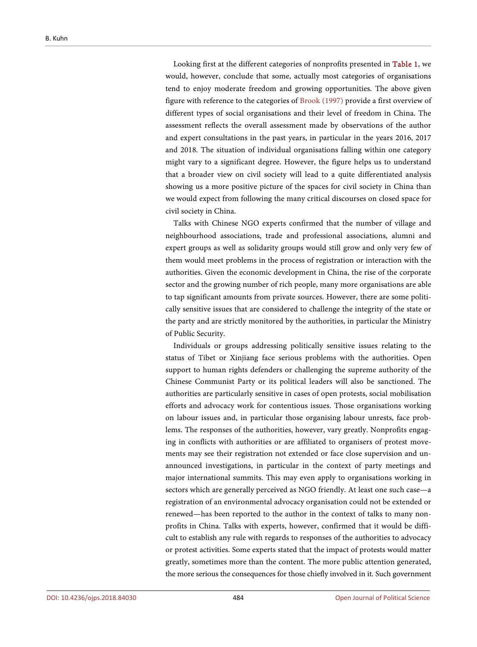Looking first at the different categories of nonprofits presented in [Table 1,](#page-18-0) we would, however, conclude that some, actually most categories of organisations tend to enjoy moderate freedom and growing opportunities. The above given figure with reference to the categories of [Brook \(1997\)](#page-24-9) provide a first overview of different types of social organisations and their level of freedom in China. The assessment reflects the overall assessment made by observations of the author and expert consultations in the past years, in particular in the years 2016, 2017 and 2018. The situation of individual organisations falling within one category might vary to a significant degree. However, the figure helps us to understand that a broader view on civil society will lead to a quite differentiated analysis showing us a more positive picture of the spaces for civil society in China than we would expect from following the many critical discourses on closed space for civil society in China.

Talks with Chinese NGO experts confirmed that the number of village and neighbourhood associations, trade and professional associations, alumni and expert groups as well as solidarity groups would still grow and only very few of them would meet problems in the process of registration or interaction with the authorities. Given the economic development in China, the rise of the corporate sector and the growing number of rich people, many more organisations are able to tap significant amounts from private sources. However, there are some politically sensitive issues that are considered to challenge the integrity of the state or the party and are strictly monitored by the authorities, in particular the Ministry of Public Security.

Individuals or groups addressing politically sensitive issues relating to the status of Tibet or Xinjiang face serious problems with the authorities. Open support to human rights defenders or challenging the supreme authority of the Chinese Communist Party or its political leaders will also be sanctioned. The authorities are particularly sensitive in cases of open protests, social mobilisation efforts and advocacy work for contentious issues. Those organisations working on labour issues and, in particular those organising labour unrests, face problems. The responses of the authorities, however, vary greatly. Nonprofits engaging in conflicts with authorities or are affiliated to organisers of protest movements may see their registration not extended or face close supervision and unannounced investigations, in particular in the context of party meetings and major international summits. This may even apply to organisations working in sectors which are generally perceived as NGO friendly. At least one such case—a registration of an environmental advocacy organisation could not be extended or renewed—has been reported to the author in the context of talks to many nonprofits in China. Talks with experts, however, confirmed that it would be difficult to establish any rule with regards to responses of the authorities to advocacy or protest activities. Some experts stated that the impact of protests would matter greatly, sometimes more than the content. The more public attention generated, the more serious the consequences for those chiefly involved in it. Such government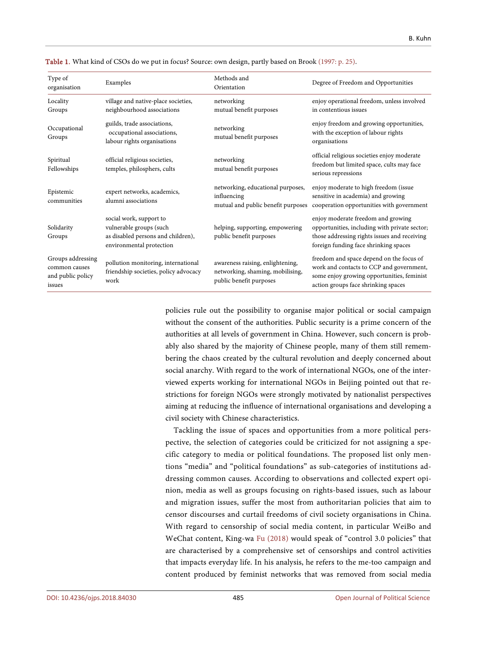| Type of<br>organisation                                           | Examples                                                                                                             | Methods and<br>Orientation                                                                      | Degree of Freedom and Opportunities                                                                                                                                          |
|-------------------------------------------------------------------|----------------------------------------------------------------------------------------------------------------------|-------------------------------------------------------------------------------------------------|------------------------------------------------------------------------------------------------------------------------------------------------------------------------------|
| Locality<br>Groups                                                | village and native-place societies,<br>neighbourhood associations                                                    | networking<br>mutual benefit purposes                                                           | enjoy operational freedom, unless involved<br>in contentious issues                                                                                                          |
| Occupational<br>Groups                                            | guilds, trade associations,<br>occupational associations,<br>labour rights organisations                             | networking<br>mutual benefit purposes                                                           | enjoy freedom and growing opportunities,<br>with the exception of labour rights<br>organisations                                                                             |
| Spiritual<br>Fellowships                                          | official religious societies,<br>temples, philosphers, cults                                                         | networking<br>mutual benefit purposes                                                           | official religious societies enjoy moderate<br>freedom but limited space, cults may face<br>serious repressions                                                              |
| Epistemic<br>communities                                          | expert networks, academics,<br>alumni associations                                                                   | networking, educational purposes,<br>influencing<br>mutual and public benefit purposes          | enjoy moderate to high freedom (issue<br>sensitive in academia) and growing<br>cooperation opportunities with government                                                     |
| Solidarity<br>Groups                                              | social work, support to<br>vulnerable groups (such<br>as disabled persons and children),<br>environmental protection | helping, supporting, empowering<br>public benefit purposes                                      | enjoy moderate freedom and growing<br>opportunities, including with private sector;<br>those addressing rights issues and receiving<br>foreign funding face shrinking spaces |
| Groups addressing<br>common causes<br>and public policy<br>issues | pollution monitoring, international<br>friendship societies, policy advocacy<br>work                                 | awareness raising, enlightening,<br>networking, shaming, mobilising,<br>public benefit purposes | freedom and space depend on the focus of<br>work and contacts to CCP and government,<br>some enjoy growing opportunities, feminist<br>action groups face shrinking spaces    |

<span id="page-18-0"></span>Table 1. What kind of CSOs do we put in focus? Source: own design, partly based on Broo[k \(1997: p. 25\).](#page-24-9)

policies rule out the possibility to organise major political or social campaign without the consent of the authorities. Public security is a prime concern of the authorities at all levels of government in China. However, such concern is probably also shared by the majority of Chinese people, many of them still remembering the chaos created by the cultural revolution and deeply concerned about social anarchy. With regard to the work of international NGOs, one of the interviewed experts working for international NGOs in Beijing pointed out that restrictions for foreign NGOs were strongly motivated by nationalist perspectives aiming at reducing the influence of international organisations and developing a civil society with Chinese characteristics.

Tackling the issue of spaces and opportunities from a more political perspective, the selection of categories could be criticized for not assigning a specific category to media or political foundations. The proposed list only mentions "media" and "political foundations" as sub-categories of institutions addressing common causes. According to observations and collected expert opinion, media as well as groups focusing on rights-based issues, such as labour and migration issues, suffer the most from authoritarian policies that aim to censor discourses and curtail freedoms of civil society organisations in China. With regard to censorship of social media content, in particular WeiBo and WeChat content, King-wa [Fu \(2018\)](#page-25-15) would speak of "control 3.0 policies" that are characterised by a comprehensive set of censorships and control activities that impacts everyday life. In his analysis, he refers to the me-too campaign and content produced by feminist networks that was removed from social media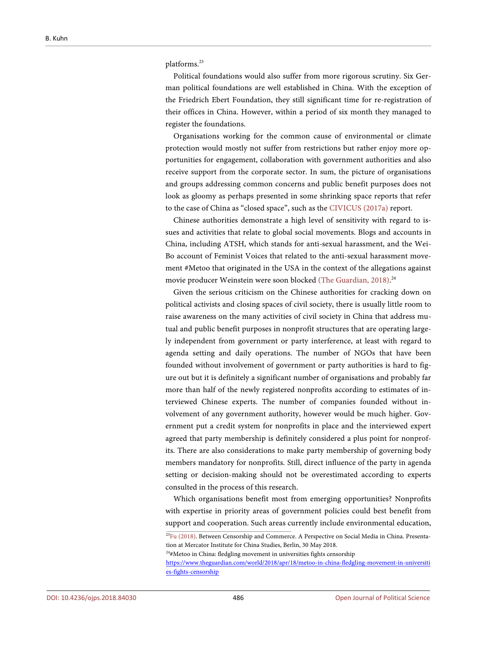platforms.<sup>23</sup>

Political foundations would also suffer from more rigorous scrutiny. Six German political foundations are well established in China. With the exception of the Friedrich Ebert Foundation, they still significant time for re-registration of their offices in China. However, within a period of six month they managed to register the foundations.

Organisations working for the common cause of environmental or climate protection would mostly not suffer from restrictions but rather enjoy more opportunities for engagement, collaboration with government authorities and also receive support from the corporate sector. In sum, the picture of organisations and groups addressing common concerns and public benefit purposes does not look as gloomy as perhaps presented in some shrinking space reports that refer to the case of China as "closed space", such as the [CIVICUS \(2017a\)](#page-25-0) report.

Chinese authorities demonstrate a high level of sensitivity with regard to issues and activities that relate to global social movements. Blogs and accounts in China, including ATSH, which stands for anti-sexual harassment, and the Wei-Bo account of Feminist Voices that related to the anti-sexual harassment movement #Metoo that originated in the USA in the context of the allegations against movie producer Weinstein were soon blocked [\(The Guardian, 2018\).](#page-27-9)<sup>24</sup>

Given the serious criticism on the Chinese authorities for cracking down on political activists and closing spaces of civil society, there is usually little room to raise awareness on the many activities of civil society in China that address mutual and public benefit purposes in nonprofit structures that are operating largely independent from government or party interference, at least with regard to agenda setting and daily operations. The number of NGOs that have been founded without involvement of government or party authorities is hard to figure out but it is definitely a significant number of organisations and probably far more than half of the newly registered nonprofits according to estimates of interviewed Chinese experts. The number of companies founded without involvement of any government authority, however would be much higher. Government put a credit system for nonprofits in place and the interviewed expert agreed that party membership is definitely considered a plus point for nonprofits. There are also considerations to make party membership of governing body members mandatory for nonprofits. Still, direct influence of the party in agenda setting or decision-making should not be overestimated according to experts consulted in the process of this research.

Which organisations benefit most from emerging opportunities? Nonprofits with expertise in priority areas of government policies could best benefit from support and cooperation. Such areas currently include environmental education,

<sup>24</sup>#Metoo in China: fledgling movement in universities fights censorship

<sup>23</sup> Fu [\(2018\).](#page-25-15) Between Censorship and Commerce. A Perspective on Social Media in China. Presentation at Mercator Institute for China Studies, Berlin, 30 May 2018.

[https://www.theguardian.com/world/2018/apr/18/metoo-in-china-fledgling-movement-in-universiti](https://www.theguardian.com/world/2018/apr/18/metoo-in-china-fledgling-movement-in-universities-fights-censorship) [es-fights-censorship](https://www.theguardian.com/world/2018/apr/18/metoo-in-china-fledgling-movement-in-universities-fights-censorship)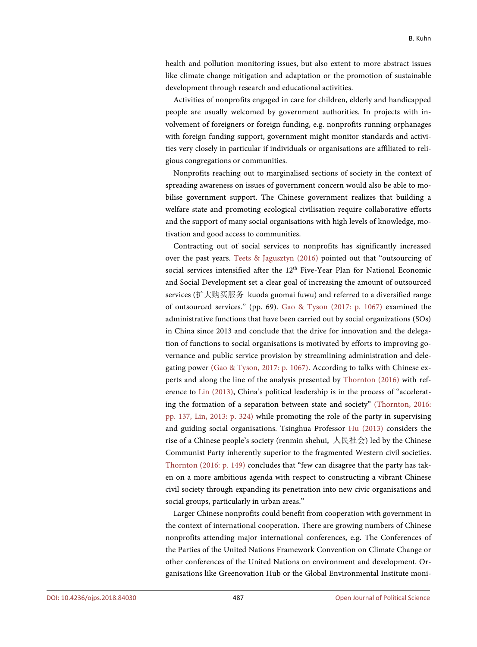health and pollution monitoring issues, but also extent to more abstract issues like climate change mitigation and adaptation or the promotion of sustainable development through research and educational activities.

Activities of nonprofits engaged in care for children, elderly and handicapped people are usually welcomed by government authorities. In projects with involvement of foreigners or foreign funding, e.g. nonprofits running orphanages with foreign funding support, government might monitor standards and activities very closely in particular if individuals or organisations are affiliated to religious congregations or communities.

Nonprofits reaching out to marginalised sections of society in the context of spreading awareness on issues of government concern would also be able to mobilise government support. The Chinese government realizes that building a welfare state and promoting ecological civilisation require collaborative efforts and the support of many social organisations with high levels of knowledge, motivation and good access to communities.

Contracting out of social services to nonprofits has significantly increased over the past years. [Teets & Jagusztyn \(2016\)](#page-27-1) pointed out that "outsourcing of social services intensified after the 12<sup>th</sup> Five-Year Plan for National Economic and Social Development set a clear goal of increasing the amount of outsourced services (扩大购买服务 kuoda guomai fuwu) and referred to a diversified range of outsourced services." (pp. 69). [Gao & Tyson \(2017: p. 1067\)](#page-25-16) examined the administrative functions that have been carried out by social organizations (SOs) in China since 2013 and conclude that the drive for innovation and the delegation of functions to social organisations is motivated by efforts to improving governance and public service provision by streamlining administration and delegating power [\(Gao & Tyson,](#page-25-16) 2017: p. 1067). According to talks with Chinese experts and along the line of the analysis presented by [Thornton \(2016\)](#page-27-10) with reference to [Lin \(2013\),](#page-26-16) China's political leadership is in the process of "accelerating the formation of a separation between state and society" [\(Thornton,](#page-27-10) 2016: pp. 137, Lin, [2013: p. 324\)](#page-27-10) while promoting the role of the party in supervising and guiding social organisations. Tsinghua Professor Hu [\(2013\)](#page-26-17) considers the rise of a Chinese people's society (renmin shehui, 人民社会) led by the Chinese Communist Party inherently superior to the fragmented Western civil societies. [Thornton \(2016: p. 149\)](#page-27-10) concludes that "few can disagree that the party has taken on a more ambitious agenda with respect to constructing a vibrant Chinese civil society through expanding its penetration into new civic organisations and social groups, particularly in urban areas."

Larger Chinese nonprofits could benefit from cooperation with government in the context of international cooperation. There are growing numbers of Chinese nonprofits attending major international conferences, e.g. The Conferences of the Parties of the United Nations Framework Convention on Climate Change or other conferences of the United Nations on environment and development. Organisations like Greenovation Hub or the Global Environmental Institute moni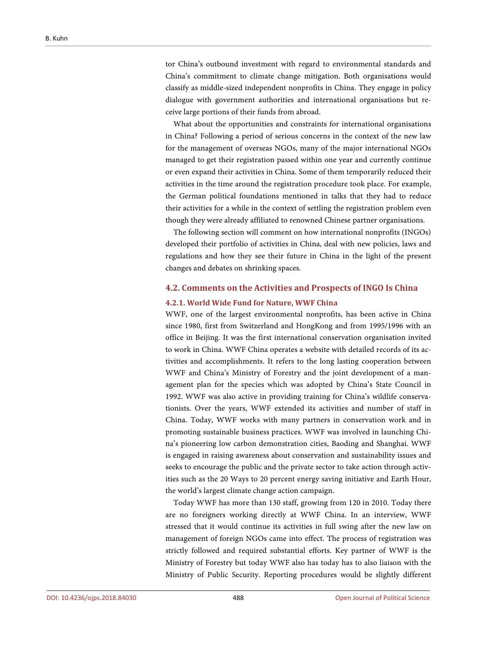tor China's outbound investment with regard to environmental standards and China's commitment to climate change mitigation. Both organisations would classify as middle-sized independent nonprofits in China. They engage in policy dialogue with government authorities and international organisations but receive large portions of their funds from abroad.

What about the opportunities and constraints for international organisations in China? Following a period of serious concerns in the context of the new law for the management of overseas NGOs, many of the major international NGOs managed to get their registration passed within one year and currently continue or even expand their activities in China. Some of them temporarily reduced their activities in the time around the registration procedure took place. For example, the German political foundations mentioned in talks that they had to reduce their activities for a while in the context of settling the registration problem even though they were already affiliated to renowned Chinese partner organisations.

The following section will comment on how international nonprofits (INGOs) developed their portfolio of activities in China, deal with new policies, laws and regulations and how they see their future in China in the light of the present changes and debates on shrinking spaces.

### **4.2. Comments on the Activities and Prospects of INGO Is China**

#### **4.2.1. World Wide Fund for Nature, WWF China**

WWF, one of the largest environmental nonprofits, has been active in China since 1980, first from Switzerland and HongKong and from 1995/1996 with an office in Beijing. It was the first international conservation organisation invited to work in China. WWF China operates a website with detailed records of its activities and accomplishments. It refers to the long lasting cooperation between WWF and China's Ministry of Forestry and the joint development of a management plan for the species which was adopted by China's State Council in 1992. WWF was also active in providing training for China's wildlife conservationists. Over the years, WWF extended its activities and number of staff in China. Today, WWF works with many partners in conservation work and in promoting sustainable business practices. WWF was involved in launching China's pioneering low carbon demonstration cities, Baoding and Shanghai. WWF is engaged in raising awareness about conservation and sustainability issues and seeks to encourage the public and the private sector to take action through activities such as the 20 Ways to 20 percent energy saving initiative and Earth Hour, the world's largest climate change action campaign.

Today WWF has more than 130 staff, growing from 120 in 2010. Today there are no foreigners working directly at WWF China. In an interview, WWF stressed that it would continue its activities in full swing after the new law on management of foreign NGOs came into effect. The process of registration was strictly followed and required substantial efforts. Key partner of WWF is the Ministry of Forestry but today WWF also has today has to also liaison with the Ministry of Public Security. Reporting procedures would be slightly different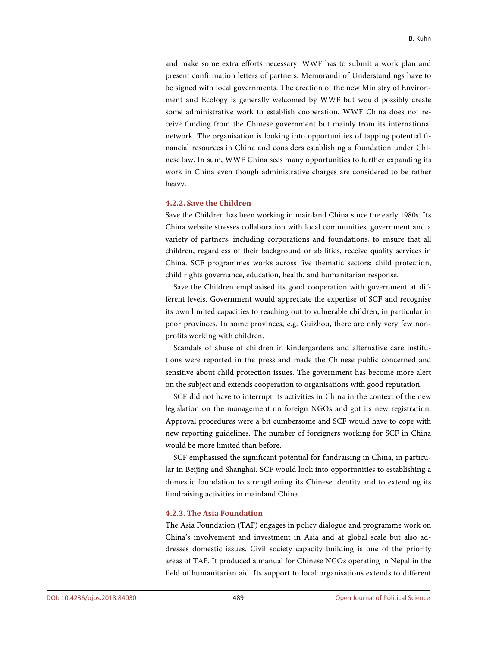and make some extra efforts necessary. WWF has to submit a work plan and present confirmation letters of partners. Memorandi of Understandings have to be signed with local governments. The creation of the new Ministry of Environment and Ecology is generally welcomed by WWF but would possibly create some administrative work to establish cooperation. WWF China does not receive funding from the Chinese government but mainly from its international network. The organisation is looking into opportunities of tapping potential financial resources in China and considers establishing a foundation under Chinese law. In sum, WWF China sees many opportunities to further expanding its work in China even though administrative charges are considered to be rather heavy.

#### **4.2.2. Save the Children**

Save the Children has been working in mainland China since the early 1980s. Its China website stresses collaboration with local communities, government and a variety of partners, including corporations and foundations, to ensure that all children, regardless of their background or abilities, receive quality services in China. SCF programmes works across five thematic sectors: child protection, child rights governance, education, health, and humanitarian response.

Save the Children emphasised its good cooperation with government at different levels. Government would appreciate the expertise of SCF and recognise its own limited capacities to reaching out to vulnerable children, in particular in poor provinces. In some provinces, e.g. Guizhou, there are only very few nonprofits working with children.

Scandals of abuse of children in kindergardens and alternative care institutions were reported in the press and made the Chinese public concerned and sensitive about child protection issues. The government has become more alert on the subject and extends cooperation to organisations with good reputation.

SCF did not have to interrupt its activities in China in the context of the new legislation on the management on foreign NGOs and got its new registration. Approval procedures were a bit cumbersome and SCF would have to cope with new reporting guidelines. The number of foreigners working for SCF in China would be more limited than before.

SCF emphasised the significant potential for fundraising in China, in particular in Beijing and Shanghai. SCF would look into opportunities to establishing a domestic foundation to strengthening its Chinese identity and to extending its fundraising activities in mainland China.

#### **4.2.3. The Asia Foundation**

The Asia Foundation (TAF) engages in policy dialogue and programme work on China's involvement and investment in Asia and at global scale but also addresses domestic issues. Civil society capacity building is one of the priority areas of TAF. It produced a manual for Chinese NGOs operating in Nepal in the field of humanitarian aid. Its support to local organisations extends to different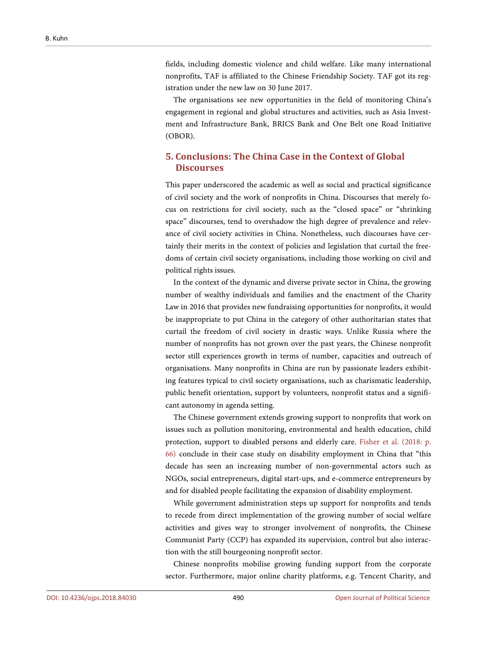fields, including domestic violence and child welfare. Like many international nonprofits, TAF is affiliated to the Chinese Friendship Society. TAF got its registration under the new law on 30 June 2017.

The organisations see new opportunities in the field of monitoring China's engagement in regional and global structures and activities, such as Asia Investment and Infrastructure Bank, BRICS Bank and One Belt one Road Initiative (OBOR).

# **5. Conclusions: The China Case in the Context of Global Discourses**

This paper underscored the academic as well as social and practical significance of civil society and the work of nonprofits in China. Discourses that merely focus on restrictions for civil society, such as the "closed space" or "shrinking space" discourses, tend to overshadow the high degree of prevalence and relevance of civil society activities in China. Nonetheless, such discourses have certainly their merits in the context of policies and legislation that curtail the freedoms of certain civil society organisations, including those working on civil and political rights issues.

In the context of the dynamic and diverse private sector in China, the growing number of wealthy individuals and families and the enactment of the Charity Law in 2016 that provides new fundraising opportunities for nonprofits, it would be inappropriate to put China in the category of other authoritarian states that curtail the freedom of civil society in drastic ways. Unlike Russia where the number of nonprofits has not grown over the past years, the Chinese nonprofit sector still experiences growth in terms of number, capacities and outreach of organisations. Many nonprofits in China are run by passionate leaders exhibiting features typical to civil society organisations, such as charismatic leadership, public benefit orientation, support by volunteers, nonprofit status and a significant autonomy in agenda setting.

The Chinese government extends growing support to nonprofits that work on issues such as pollution monitoring, environmental and health education, child protection, support to disabled persons and elderly care. [Fisher et al. \(2018: p.](#page-25-17)  [66\)](#page-25-17) conclude in their case study on disability employment in China that "this decade has seen an increasing number of non-governmental actors such as NGOs, social entrepreneurs, digital start-ups, and e-commerce entrepreneurs by and for disabled people facilitating the expansion of disability employment.

While government administration steps up support for nonprofits and tends to recede from direct implementation of the growing number of social welfare activities and gives way to stronger involvement of nonprofits, the Chinese Communist Party (CCP) has expanded its supervision, control but also interaction with the still bourgeoning nonprofit sector.

Chinese nonprofits mobilise growing funding support from the corporate sector. Furthermore, major online charity platforms, e.g. Tencent Charity, and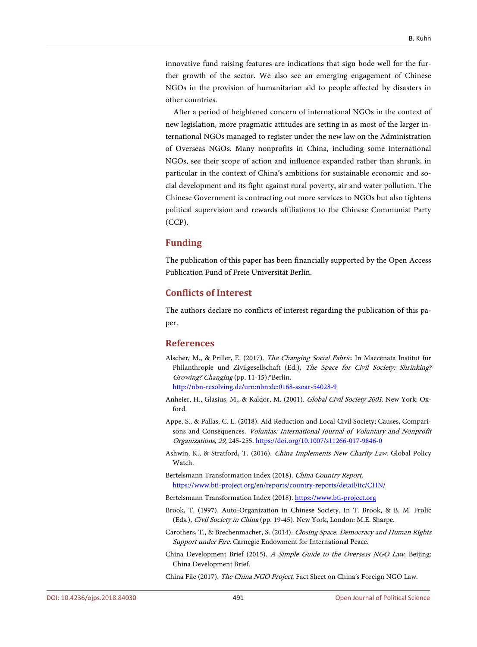innovative fund raising features are indications that sign bode well for the further growth of the sector. We also see an emerging engagement of Chinese NGOs in the provision of humanitarian aid to people affected by disasters in other countries.

After a period of heightened concern of international NGOs in the context of new legislation, more pragmatic attitudes are setting in as most of the larger international NGOs managed to register under the new law on the Administration of Overseas NGOs. Many nonprofits in China, including some international NGOs, see their scope of action and influence expanded rather than shrunk, in particular in the context of China's ambitions for sustainable economic and social development and its fight against rural poverty, air and water pollution. The Chinese Government is contracting out more services to NGOs but also tightens political supervision and rewards affiliations to the Chinese Communist Party (CCP).

#### **Funding**

The publication of this paper has been financially supported by the Open Access Publication Fund of Freie Universität Berlin.

#### **Conflicts of Interest**

The authors declare no conflicts of interest regarding the publication of this paper.

#### **References**

<span id="page-24-6"></span>Alscher, M., & Priller, E. (2017). The Changing Social Fabric. In Maecenata Institut für Philanthropie und Zivilgesellschaft (Ed.), The Space for Civil Society: Shrinking? Growing? Changing (pp. 11-15)? Berlin.

<http://nbn-resolving.de/urn:nbn:de:0168-ssoar-54028-9>

- <span id="page-24-0"></span>Anheier, H., Glasius, M., & Kaldor, M. (2001). Global Civil Society 2001. New York: Oxford.
- <span id="page-24-7"></span>Appe, S., & Pallas, C. L. (2018). Aid Reduction and Local Civil Society; Causes, Comparisons and Consequences. *Voluntas: International Journal of Voluntary and Nonprofit* Organizations, 29, 245-255. <https://doi.org/10.1007/s11266-017-9846-0>
- <span id="page-24-8"></span>Ashwin, K., & Stratford, T. (2016). China Implements New Charity Law. Global Policy Watch.
- <span id="page-24-4"></span>Bertelsmann Transformation Index (2018). China Country Report. <https://www.bti-project.org/en/reports/country-reports/detail/itc/CHN/>

<span id="page-24-5"></span>Bertelsmann Transformation Index (2018)[. https://www.bti-project.org](https://www.bti-project.org/)

- <span id="page-24-9"></span>Brook, T. (1997). Auto-Organization in Chinese Society. In T. Brook, & B. M. Frolic (Eds.), Civil Society in China (pp. 19-45). New York, London: M.E. Sharpe.
- <span id="page-24-3"></span>Carothers, T., & Brechenmacher, S. (2014). Closing Space. Democracy and Human Rights Support under Fire. Carnegie Endowment for International Peace.
- <span id="page-24-1"></span>China Development Brief (2015). A Simple Guide to the Overseas NGO Law. Beijing: China Development Brief.

<span id="page-24-2"></span>China File (2017). The China NGO Project. Fact Sheet on China's Foreign NGO Law.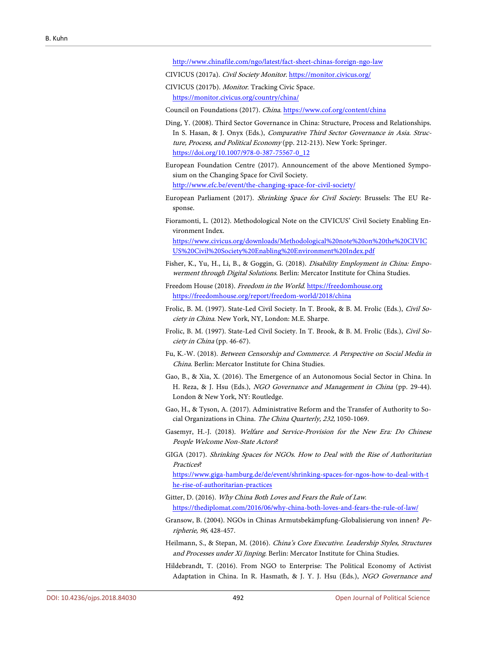<http://www.chinafile.com/ngo/latest/fact-sheet-chinas-foreign-ngo-law>

- CIVICUS (2017a). Civil Society Monitor. <https://monitor.civicus.org/>
- <span id="page-25-12"></span><span id="page-25-0"></span>CIVICUS (2017b). Monitor. Tracking Civic Space. <https://monitor.civicus.org/country/china/>

Council on Foundations (2017). China.<https://www.cof.org/content/china>

- <span id="page-25-3"></span>Ding, Y. (2008). Third Sector Governance in China: Structure, Process and Relationships. In S. Hasan, & J. Onyx (Eds.), Comparative Third Sector Governance in Asia. Structure, Process, and Political Economy (pp. 212-213). New York: Springer. [https://doi.org/10.1007/978-0-387-75567-0\\_12](https://doi.org/10.1007/978-0-387-75567-0_12)
- <span id="page-25-11"></span>European Foundation Centre (2017). Announcement of the above Mentioned Symposium on the Changing Space for Civil Society.

<http://www.efc.be/event/the-changing-space-for-civil-society/>

- <span id="page-25-7"></span>European Parliament (2017). Shrinking Space for Civil Society. Brussels: The EU Response.
- <span id="page-25-9"></span>Fioramonti, L. (2012). Methodological Note on the CIVICUS' Civil Society Enabling Environment Index.

[https://www.civicus.org/downloads/Methodological%20note%20on%20the%20CIVIC](https://www.civicus.org/downloads/Methodological%20note%20on%20the%20CIVICUS%20Civil%20Society%20Enabling%20Environment%20Index.pdf) [US%20Civil%20Society%20Enabling%20Environment%20Index.pdf](https://www.civicus.org/downloads/Methodological%20note%20on%20the%20CIVICUS%20Civil%20Society%20Enabling%20Environment%20Index.pdf)

- <span id="page-25-17"></span>Fisher, K., Yu, H., Li, B., & Goggin, G. (2018). Disability Employment in China: Empowerment through Digital Solutions. Berlin: Mercator Institute for China Studies.
- <span id="page-25-10"></span>Freedom House (2018). Freedom in the World[. https://freedomhouse.org](https://freedomhouse.org/) <https://freedomhouse.org/report/freedom-world/2018/china>
- <span id="page-25-6"></span>Frolic, B. M. (1997). State-Led Civil Society. In T. Brook, & B. M. Frolic (Eds.), Civil Society in China. New York, NY, London: M.E. Sharpe.
- Frolic, B. M. (1997). State-Led Civil Society. In T. Brook, & B. M. Frolic (Eds.), Civil Society in China (pp. 46-67).
- <span id="page-25-15"></span>Fu, K.-W. (2018). Between Censorship and Commerce. A Perspective on Social Media in China. Berlin: Mercator Institute for China Studies.
- <span id="page-25-1"></span>Gao, B., & Xia, X. (2016). The Emergence of an Autonomous Social Sector in China. In H. Reza, & J. Hsu (Eds.), NGO Governance and Management in China (pp. 29-44). London & New York, NY: Routledge.
- <span id="page-25-16"></span>Gao, H., & Tyson, A. (2017). Administrative Reform and the Transfer of Authority to Social Organizations in China. The China Quarterly, 232, 1050-1069.
- <span id="page-25-4"></span>Gasemyr, H.-J. (2018). Welfare and Service-Provision for the New Era: Do Chinese People Welcome Non-State Actors?
- <span id="page-25-8"></span>GIGA (2017). Shrinking Spaces for NGOs. How to Deal with the Rise of Authoritarian Practices?

[https://www.giga-hamburg.de/de/event/shrinking-spaces-for-ngos-how-to-deal-with-t](https://www.giga-hamburg.de/de/event/shrinking-spaces-for-ngos-how-to-deal-with-the-rise-of-authoritarian-practices) [he-rise-of-authoritarian-practices](https://www.giga-hamburg.de/de/event/shrinking-spaces-for-ngos-how-to-deal-with-the-rise-of-authoritarian-practices)

- <span id="page-25-14"></span>Gitter, D. (2016). Why China Both Loves and Fears the Rule of Law. <https://thediplomat.com/2016/06/why-china-both-loves-and-fears-the-rule-of-law/>
- <span id="page-25-2"></span>Gransow, B. (2004). NGOs in Chinas Armutsbekämpfung-Globalisierung von innen? Peripherie, 96, 428-457.
- <span id="page-25-5"></span>Heilmann, S., & Stepan, M. (2016). China's Core Executive. Leadership Styles, Structures and Processes under Xi Jinping. Berlin: Mercator Institute for China Studies.
- <span id="page-25-13"></span>Hildebrandt, T. (2016). From NGO to Enterprise: The Political Economy of Activist Adaptation in China. In R. Hasmath, & J. Y. J. Hsu (Eds.), NGO Governance and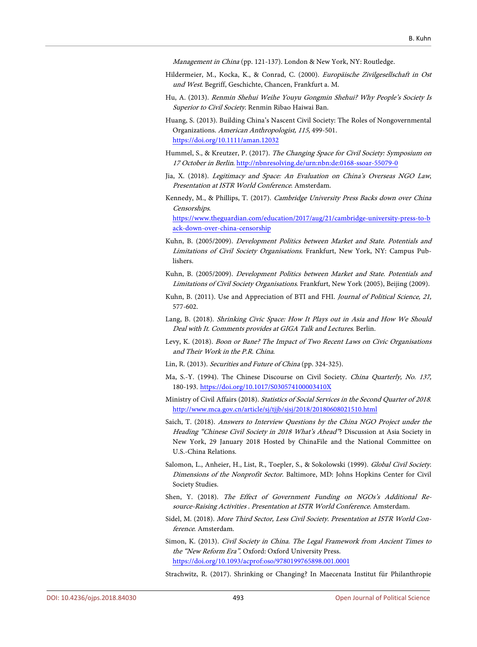Management in China (pp. 121-137). London & New York, NY: Routledge.

- <span id="page-26-0"></span>Hildermeier, M., Kocka, K., & Conrad, C. (2000). Europäische Zivilgesellschaft in Ost und West. Begriff, Geschichte, Chancen, Frankfurt a. M.
- <span id="page-26-17"></span>Hu, A. (2013). Renmin Shehui Weihe Youyu Gongmin Shehui? Why People's Society Is Superior to Civil Society. Renmin Ribao Haiwai Ban.
- <span id="page-26-3"></span>Huang, S. (2013). Building China's Nascent Civil Society: The Roles of Nongovernmental Organizations. American Anthropologist, 115, 499-501. <https://doi.org/10.1111/aman.12032>
- <span id="page-26-12"></span>Hummel, S., & Kreutzer, P. (2017). The Changing Space for Civil Society: Symposium on 17 October in Berlin[. http://nbnresolving.de/urn:nbn:de:0168-ssoar-55079-0](http://nbnresolving.de/urn:nbn:de:0168-ssoar-55079-0)
- <span id="page-26-6"></span>Jia, X. (2018). Legitimacy and Space: An Evaluation on China's Overseas NGO Law, Presentation at ISTR World Conference. Amsterdam.
- <span id="page-26-10"></span>Kennedy, M., & Phillips, T. (2017). Cambridge University Press Backs down over China Censorships.

[https://www.theguardian.com/education/2017/aug/21/cambridge-university-press-to-b](https://www.theguardian.com/education/2017/aug/21/cambridge-university-press-to-back-down-over-china-censorship) [ack-down-over-china-censorship](https://www.theguardian.com/education/2017/aug/21/cambridge-university-press-to-back-down-over-china-censorship)

- <span id="page-26-1"></span>Kuhn, B. (2005/2009). Development Politics between Market and State. Potentials and Limitations of Civil Society Organisations. Frankfurt, New York, NY: Campus Publishers.
- Kuhn, B. (2005/2009). Development Politics between Market and State. Potentials and Limitations of Civil Society Organisations. Frankfurt, New York (2005), Beijing (2009).
- <span id="page-26-9"></span>Kuhn, B. (2011). Use and Appreciation of BTI and FHI. Journal of Political Science, 21, 577-602.
- <span id="page-26-15"></span>Lang, B. (2018). Shrinking Civic Space: How It Plays out in Asia and How We Should Deal with It. Comments provides at GIGA Talk and Lectures. Berlin.
- <span id="page-26-5"></span>Levy, K. (2018). Boon or Bane? The Impact of Two Recent Laws on Civic Organisations and Their Work in the P.R. China.
- <span id="page-26-16"></span>Lin, R. (2013). Securities and Future of China (pp. 324-325).
- Ma, S.-Y. (1994). The Chinese Discourse on Civil Society. China Quarterly, No. 137, 180-193. <https://doi.org/10.1017/S030574100003410X>
- <span id="page-26-14"></span>Ministry of Civil Affairs (2018). Statistics of Social Services in the Second Quarter of 2018. <http://www.mca.gov.cn/article/sj/tjjb/sjsj/2018/20180608021510.html>
- <span id="page-26-13"></span>Saich, T. (2018). Answers to Interview Questions by the China NGO Project under the Heading "Chinese Civil Society in 2018 What's Ahead"? Discussion at Asia Society in New York, 29 January 2018 Hosted by ChinaFile and the National Committee on U.S.-China Relations.
- <span id="page-26-2"></span>Salomon, L., Anheier, H., List, R., Toepler, S., & Sokolowski (1999). Global Civil Society. Dimensions of the Nonprofit Sector. Baltimore, MD: Johns Hopkins Center for Civil Society Studies.
- <span id="page-26-4"></span>Shen, Y. (2018). The Effect of Government Funding on NGOs's Additional Resource-Raising Activities . Presentation at ISTR World Conference. Amsterdam.
- <span id="page-26-7"></span>Sidel, M. (2018). More Third Sector, Less Civil Society. Presentation at ISTR World Conference. Amsterdam.
- <span id="page-26-8"></span>Simon, K. (2013). Civil Society in China. The Legal Framework from Ancient Times to the "New Reform Era". Oxford: Oxford University Press. <https://doi.org/10.1093/acprof:oso/9780199765898.001.0001>
- <span id="page-26-11"></span>Strachwitz, R. (2017). Shrinking or Changing? In Maecenata Institut für Philanthropie